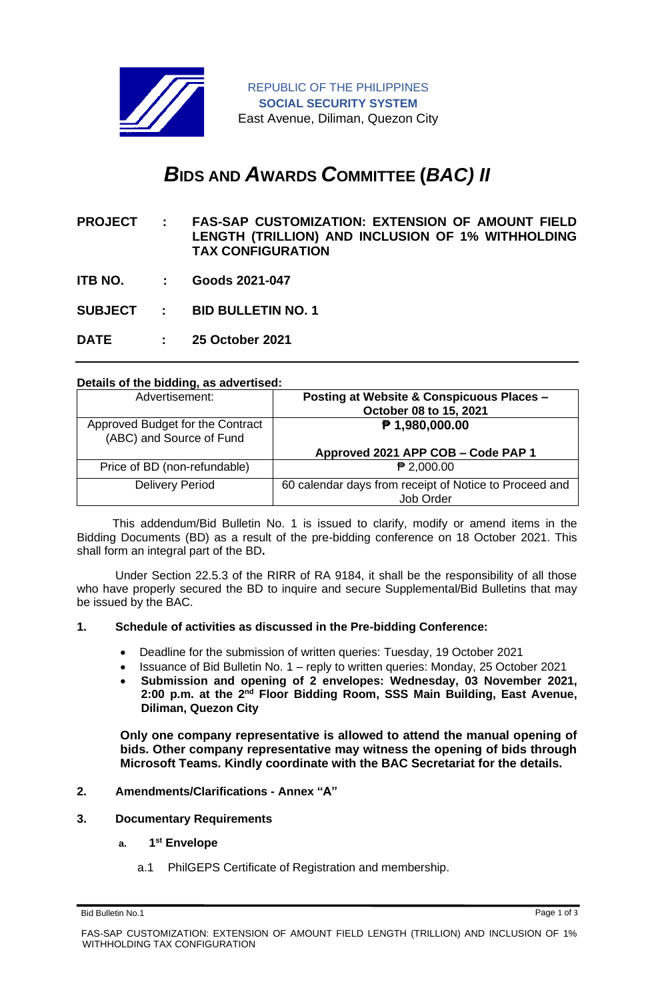

# *B***IDS AND** *A***WARDS** *C***OMMITTEE (***BAC) II*

- **PROJECT : FAS-SAP CUSTOMIZATION: EXTENSION OF AMOUNT FIELD LENGTH (TRILLION) AND INCLUSION OF 1% WITHHOLDING TAX CONFIGURATION**
- **ITB NO. : Goods 2021-047**
- **SUBJECT : BID BULLETIN NO. 1**

**DATE : 25 October 2021**

#### **Details of the bidding, as advertised:**

| Advertisement:                                               | <b>Posting at Website &amp; Conspicuous Places -</b><br>October 08 to 15, 2021 |
|--------------------------------------------------------------|--------------------------------------------------------------------------------|
| Approved Budget for the Contract<br>(ABC) and Source of Fund | $P$ 1,980,000.00                                                               |
|                                                              | Approved 2021 APP COB - Code PAP 1                                             |
| Price of BD (non-refundable)                                 | $P$ 2,000.00                                                                   |
| <b>Delivery Period</b>                                       | 60 calendar days from receipt of Notice to Proceed and<br>Job Order            |

 This addendum/Bid Bulletin No. 1 is issued to clarify, modify or amend items in the Bidding Documents (BD) as a result of the pre-bidding conference on 18 October 2021. This shall form an integral part of the BD**.**

Under Section 22.5.3 of the RIRR of RA 9184, it shall be the responsibility of all those who have properly secured the BD to inquire and secure Supplemental/Bid Bulletins that may be issued by the BAC.

## **1. Schedule of activities as discussed in the Pre-bidding Conference:**

- Deadline for the submission of written queries: Tuesday, 19 October 2021
- Issuance of Bid Bulletin No. 1 reply to written queries: Monday, 25 October 2021
- **Submission and opening of 2 envelopes: Wednesday, 03 November 2021,**  2:00 p.m. at the 2<sup>nd</sup> Floor Bidding Room, SSS Main Building, East Avenue, **Diliman, Quezon City**

**Only one company representative is allowed to attend the manual opening of bids. Other company representative may witness the opening of bids through Microsoft Teams. Kindly coordinate with the BAC Secretariat for the details.**

#### **2. Amendments/Clarifications - Annex "A"**

- **3. Documentary Requirements**
	- **a. 1 st Envelope**
		- a.1 PhilGEPS Certificate of Registration and membership.

Bid Bulletin No.1 Page 1 of 3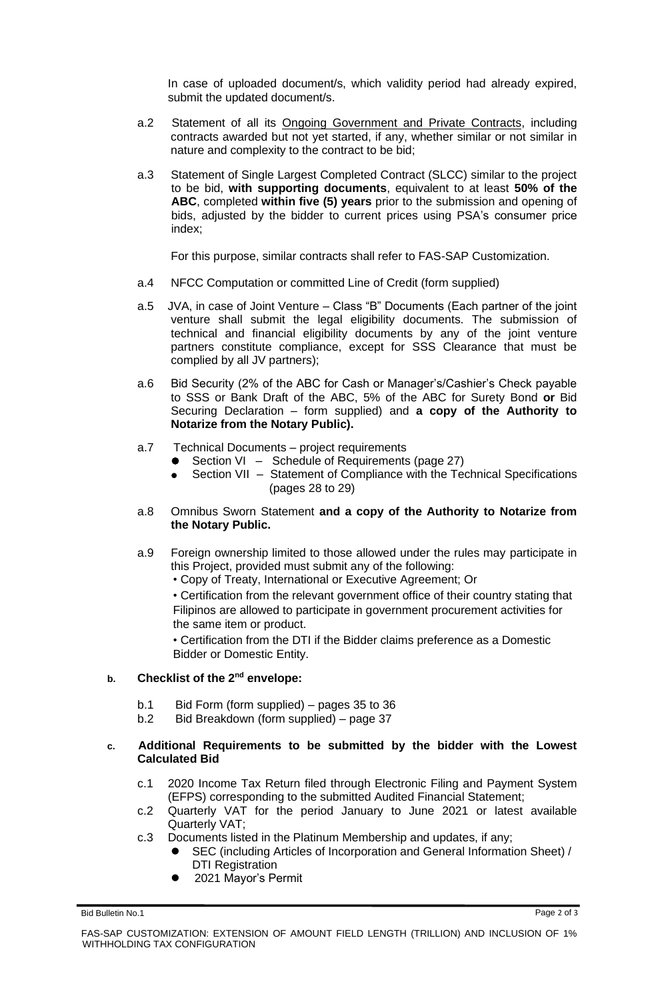In case of uploaded document/s, which validity period had already expired, submit the updated document/s.

- a.2 Statement of all its Ongoing Government and Private Contracts, including contracts awarded but not yet started, if any, whether similar or not similar in nature and complexity to the contract to be bid;
- a.3 Statement of Single Largest Completed Contract (SLCC) similar to the project to be bid, **with supporting documents**, equivalent to at least **50% of the ABC**, completed **within five (5) years** prior to the submission and opening of bids, adjusted by the bidder to current prices using PSA's consumer price index;

For this purpose, similar contracts shall refer to FAS-SAP Customization.

- a.4 NFCC Computation or committed Line of Credit (form supplied)
- a.5 JVA, in case of Joint Venture Class "B" Documents (Each partner of the joint venture shall submit the legal eligibility documents. The submission of technical and financial eligibility documents by any of the joint venture partners constitute compliance, except for SSS Clearance that must be complied by all JV partners);
- a.6 Bid Security (2% of the ABC for Cash or Manager's/Cashier's Check payable to SSS or Bank Draft of the ABC, 5% of the ABC for Surety Bond **or** Bid Securing Declaration – form supplied) and **a copy of the Authority to Notarize from the Notary Public).**
- a.7 Technical Documents project requirements
	- Section VI Schedule of Requirements (page 27)
		- Section VII Statement of Compliance with the Technical Specifications (pages 28 to 29)
- a.8 Omnibus Sworn Statement **and a copy of the Authority to Notarize from the Notary Public.**
- a.9 Foreign ownership limited to those allowed under the rules may participate in this Project, provided must submit any of the following:
	- Copy of Treaty, International or Executive Agreement; Or

• Certification from the relevant government office of their country stating that Filipinos are allowed to participate in government procurement activities for the same item or product.

• Certification from the DTI if the Bidder claims preference as a Domestic Bidder or Domestic Entity.

# **b. Checklist of the 2nd envelope:**

- b.1 Bid Form (form supplied) pages 35 to 36
- b.2 Bid Breakdown (form supplied) page 37

## **c. Additional Requirements to be submitted by the bidder with the Lowest Calculated Bid**

- c.1 2020 Income Tax Return filed through Electronic Filing and Payment System (EFPS) corresponding to the submitted Audited Financial Statement;
- c.2 Quarterly VAT for the period January to June 2021 or latest available Quarterly VAT;
- c.3 Documents listed in the Platinum Membership and updates, if any;
	- SEC (including Articles of Incorporation and General Information Sheet) / DTI Registration
	- ⚫ 2021 Mayor's Permit